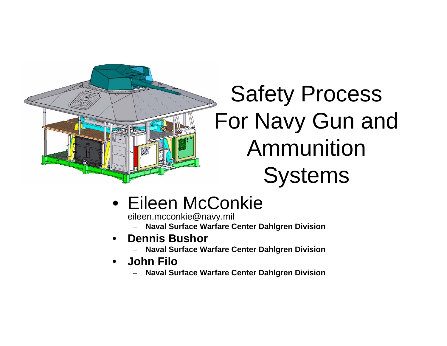

# Safety Process For Navy Gun and Ammunition **Systems**

## • Eileen McConkie

eileen.mcconkie@navy.mil

- **Naval Surface Warfare Center Dahlgren Division**
- • **Dennis Bushor**
	- **Naval Surface Warfare Center Dahlgren Division**
- • **John Filo**
	- **Naval Surface Warfare Center Dahlgren Division**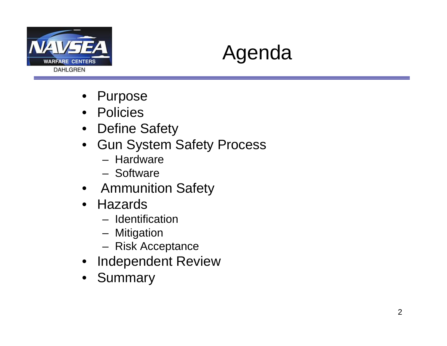



- Purpose
- Policies
- Define Safety
- Gun System Safety Process
	- Hardware
	- Software
- Ammunition Safety
- Hazards
	- Identification
	- Mitigation
	- Risk Acceptance
- Independent Review
- Summary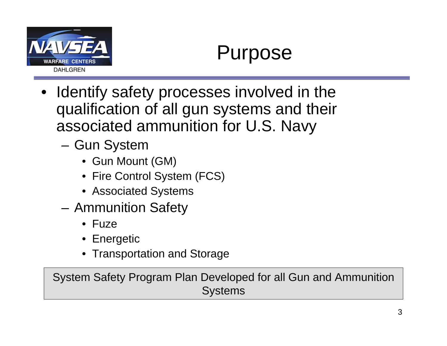

- $\bullet$  Identify safety processes involved in the qualification of all gun systems and their associated ammunition for U.S. Navy
	- **Links of the Company**  Gun System
		- Gun Mount (GM)
		- Fire Control System (FCS)
		- Associated Systems
	- and the state of the Ammunition Safety
		- Fuze
		- Energetic
		- Transportation and Storage

System Safety Program Plan Developed for all Gun and Ammunition **Systems**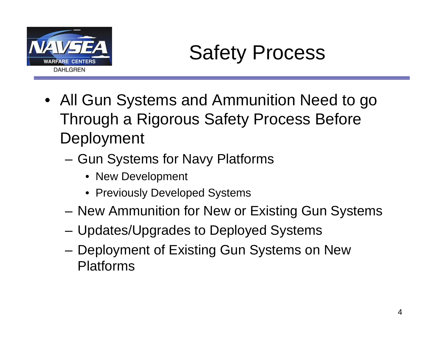

Safety Process

- All Gun Systems and Ammunition Need to go Through a Rigorous Safety Process Before Deployment
	- and the state of the Gun Systems for Navy Platforms
		- New Development
		- Previously Developed Systems
	- –New Ammunition for New or Existing Gun Systems
	- –Updates/Upgrades to Deployed Systems
	- – Deployment of Existing Gun Systems on New Platforms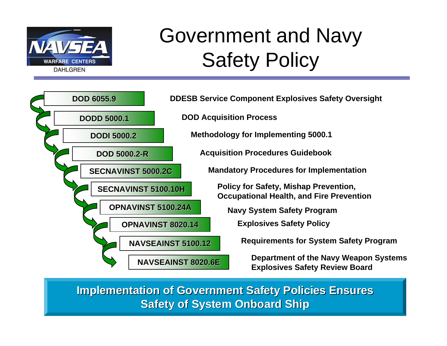

# Government and Navy Safety Policy



**Implementation of Government Safety Policies Ensures Safety of System Onboard Ship**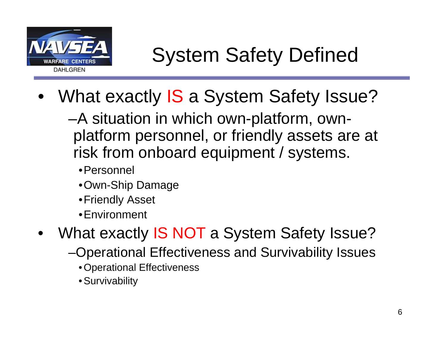

- •What exactly IS a System Safety Issue?
	- –A situation in which own-platform, ownplatform personnel, or friendly assets are at risk from onboard equipment / systems.
		- •Personnel
		- •Own-Ship Damage
		- •Friendly Asset
		- •Environment
- •What exactly IS NOT a System Safety Issue?
	- –Operational Effectiveness and Survivability Issues
		- Operational Effectiveness
		- Survivability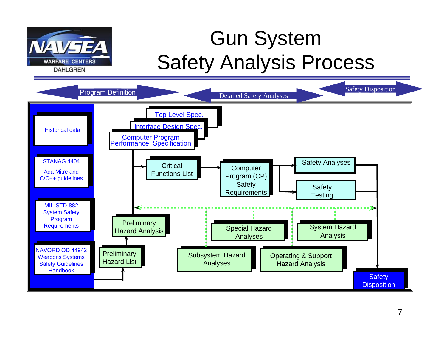

# Gun System Safety Analysis Process

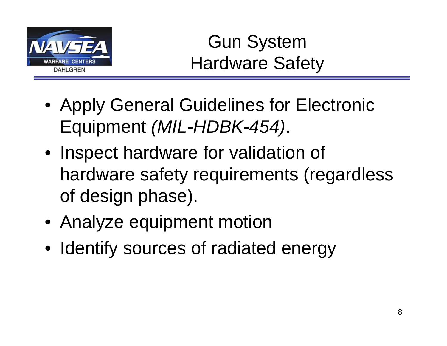

Gun System Hardware Safety

- Apply General Guidelines for Electronic Equipment *(MIL-HDBK-454)*.
- Inspect hardware for validation of hardware safety requirements (regardless of design phase).
- Analyze equipment motion
- Identify sources of radiated energy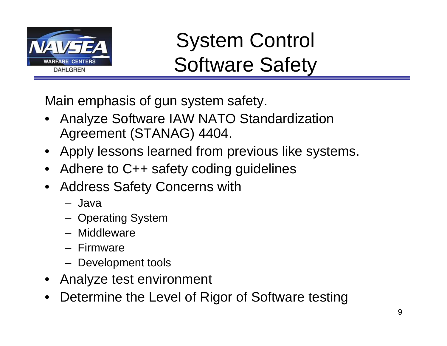

# System Control Software Safety

Main emphasis of gun system safety.

- • Analyze Software IAW NATO Standardization Agreement (STANAG) 4404.
- Apply lessons learned from previous like systems.
- •Adhere to C++ safety coding guidelines
- • Address Safety Concerns with
	- Java
	- Operating System
	- Middleware
	- Firmware
	- Development tools
- Analyze test environment
- •Determine the Level of Rigor of Software testing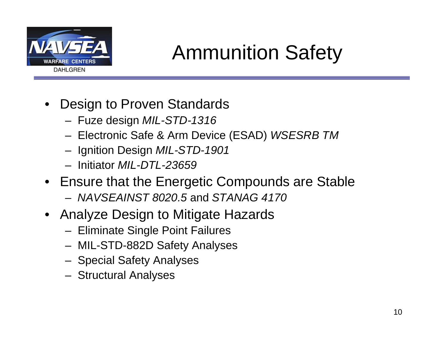

Ammunition Safety

- Design to Proven Standards
	- –Fuze design *MIL-STD-1316*
	- Electronic Safe & Arm Device (ESAD) *WSESRB TM*
	- Ignition Design *MIL-STD-1901*
	- Initiator *MIL-DTL-23659*
- Ensure that the Energetic Compounds are Stable
	- *NAVSEAINST 8020.5* and *STANAG 4170*
- Analyze Design to Mitigate Hazards
	- Eliminate Single Point Failures
	- MIL-STD-882D Safety Analyses
	- Special Safety Analyses
	- –Structural Analyses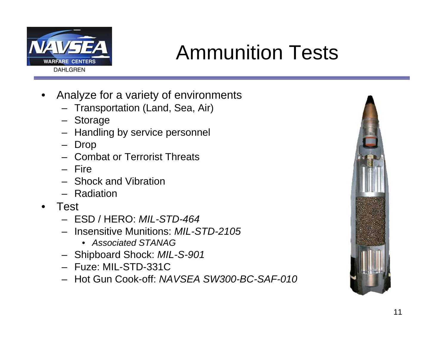

# Ammunition Tests

- • Analyze for a variety of environments
	- Transportation (Land, Sea, Air)
	- Storage
	- –Handling by service personnel
	- –Drop
	- Combat or Terrorist Threats
	- Fire
	- Shock and Vibration
	- Radiation
- • Test
	- ESD / HERO: *MIL-STD-464*
	- Insensitive Munitions: *MIL-STD-2105*
		- *Associated STANAG*
	- Shipboard Shock: *MIL-S-901*
	- Fuze: MIL-STD-331C
	- Hot Gun Cook-off: *NAVSEA SW300-BC-SAF-010*

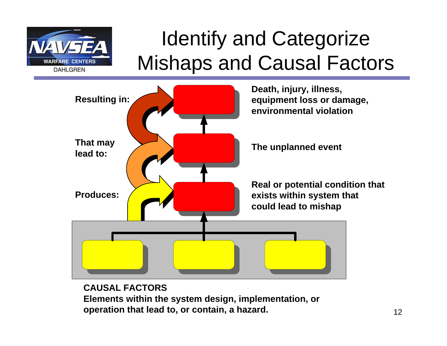

# Identify and Categorize Mishaps and Causal Factors



### **CAUSAL FACTORS**

**Elements within the system design, implementation, or operation that lead to, or contain, a hazard.**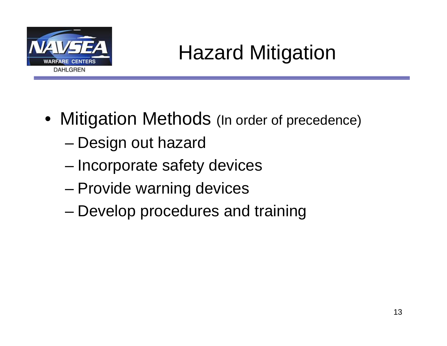

# Hazard Mitigation

- Mitigation Methods (In order of precedence)
	- –Design out hazard
	- and the state of the state Incorporate safety devices
	- and the state of the state Provide warning devices
	- –Develop procedures and training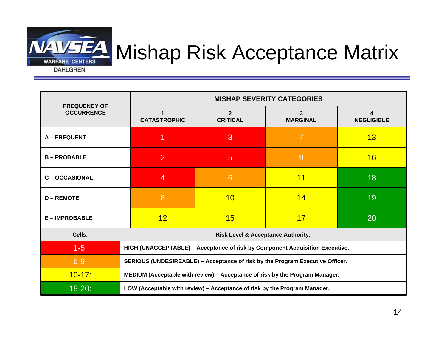

# **EA** Mishap Risk Acceptance Matrix

**DAHLGREN** 

| <b>FREQUENCY OF</b><br><b>OCCURRENCE</b> | <b>MISHAP SEVERITY CATEGORIES</b>                                             |                                   |                      |                   |
|------------------------------------------|-------------------------------------------------------------------------------|-----------------------------------|----------------------|-------------------|
|                                          | <b>CATASTROPHIC</b>                                                           | $\overline{2}$<br><b>CRITICAL</b> | 3<br><b>MARGINAL</b> | <b>NEGLIGIBLE</b> |
| <b>A-FREQUENT</b>                        |                                                                               | 3                                 | $\overline{7}$       | 13                |
| <b>B-PROBABLE</b>                        | $\overline{2}$                                                                | 5                                 | 9                    | 16                |
| <b>C-OCCASIONAL</b>                      | 4                                                                             | 6                                 | 11                   | 18                |
| <b>D-REMOTE</b>                          | 8                                                                             | 10                                | 14                   | 19                |
| <b>E-IMPROBABLE</b>                      | 12 <sub>2</sub>                                                               | 15                                | 17                   | 20                |
| Cells:                                   | <b>Risk Level &amp; Acceptance Authority:</b>                                 |                                   |                      |                   |
| $1-5$ :                                  | HIGH (UNACCEPTABLE) - Acceptance of risk by Component Acquisition Executive.  |                                   |                      |                   |
| $6-9:$                                   | SERIOUS (UNDESIREABLE) - Acceptance of risk by the Program Executive Officer. |                                   |                      |                   |
| $10 - 17$ :                              | MEDIUM (Acceptable with review) - Acceptance of risk by the Program Manager.  |                                   |                      |                   |
| $18 - 20$ :                              | LOW (Acceptable with review) - Acceptance of risk by the Program Manager.     |                                   |                      |                   |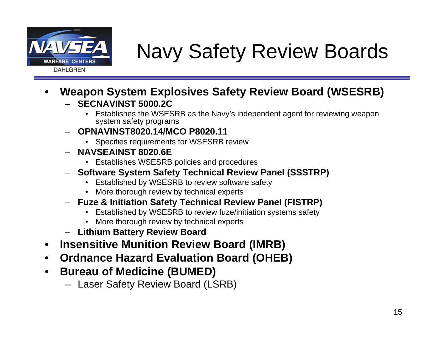

# Navy Safety Review Boards

- • **Weapon System Explosives Safety Review Board (WSESRB)** – **SECNAVINST 5000.2C**
	- Establishes the WSESRB as the Navy's independent agent for reviewing weapon system safety programs
	- **OPNAVINST8020.14/MCO P8020.11**
		- Specifies requirements for WSESRB review
	- **NAVSEAINST 8020.6E**
		- Establishes WSESRB policies and procedures
	- **Software System Safety Technical Review Panel (SSSTRP)**
		- •Established by WSESRB to review software safety
		- More thorough review by technical experts
	- **Fuze & Initiation Safety Technical Review Panel (FISTRP)**
		- •Established by WSESRB to review fuze/initiation systems safety
		- More thorough review by technical experts
	- **Lithium Battery Review Board**
- •**Insensitive Munition Review Board (IMRB)**
- •**Ordnance Hazard Evaluation Board (OHEB)**
- $\bullet$  **Bureau of Medicine (BUMED)**
	- Laser Safety Review Board (LSRB)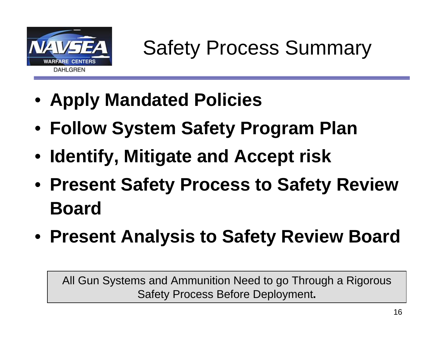

Safety Process Summary

- **Apply Mandated Policies**
- **Follow System Safety Program Plan**
- **Identify, Mitigate and Accept risk**
- **Present Safety Process to Safety Review Board**
- **Present Analysis to Safety Review Board**

All Gun Systems and Ammunition Need to go Through a Rigorous Safety Process Before Deployment**.**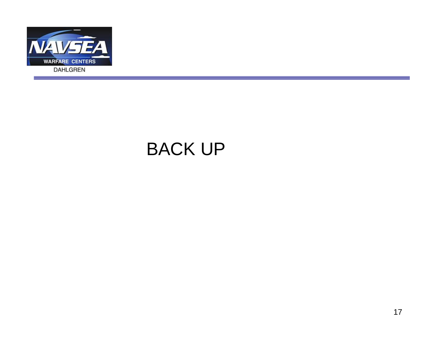

### BACK UP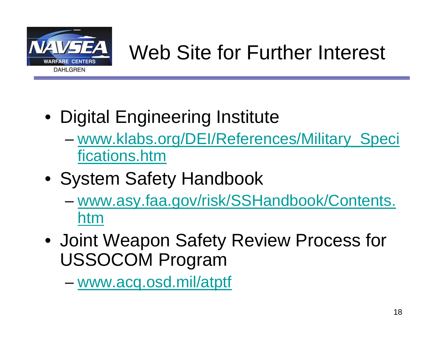

# Web Site for Further Interest

- Digital Engineering Institute
	- and the state of the state [www.klabs.org/DEI/References/Military\\_Speci](http://www.klabs.org/DEI/References/Military_Specifications.htm) [fications.htm](http://www.klabs.org/DEI/References/Military_Specifications.htm)
- System Safety Handbook
	- – [www.asy.faa.gov/risk/SSHandbook/Contents.](http://www.asy.faa.gov/risk/SSHandbook/Contents.htm) [htm](http://www.asy.faa.gov/risk/SSHandbook/Contents.htm)
- Joint Weapon Safety Review Process for USSOCOM Program

–[www.acq.osd.mil/atptf](http://www.acq.osd.mil/atptf)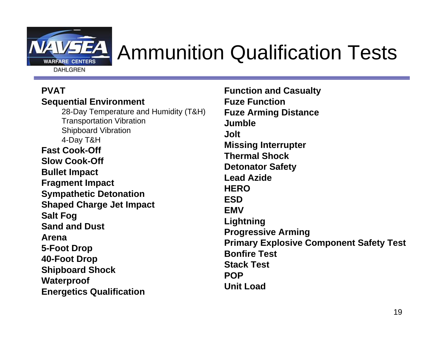

# Ammunition Qualification Tests

#### **PVATSequential Environment**

28-Day Temperature and Humidity (T&H) Transportation Vibration Shipboard Vibration 4-Day T&H **Fast Cook-Off Slow Cook-OffBullet Impact Fragment Impact Sympathetic Detonation Shaped Charge Jet Impact Salt Fog Sand and DustArena5-Foot Drop 40-Foot Drop Shipboard Shock Waterproof Energetics Qualification** 

**Function and Casualty Fuze FunctionFuze Arming Distance JumbleJoltMissing Interrupter Thermal ShockDetonator Safety Lead AzideHEROESDEMVLightning Progressive Arming Primary Explosive Component Safety Test Bonfire Test Stack Test POPUnit Load**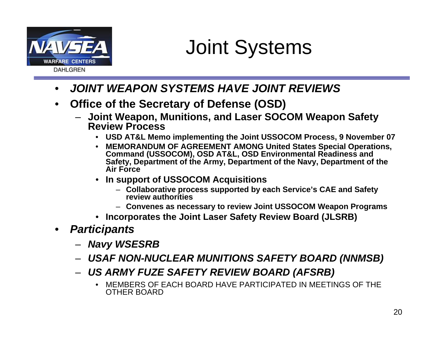

## Joint Systems

- •*JOINT WEAPON SYSTEMS HAVE JOINT REVIEWS*
- • **Office of the Secretary of Defense (OSD)**
	- **Joint Weapon, Munitions, and Laser SOCOM Weapon Safety Review Process**
		- •**USD AT&L Memo implementing the Joint USSOCOM Process, 9 November 07**
		- **MEMORANDUM OF AGREEMENT AMONG United States Special Operations, Command (USSOCOM), OSD AT&L, OSD Environmental Readiness and Safety, Department of the Army, Department of the Navy, Department of the Air Force**
		- **In support of USSOCOM Acquisitions**
			- **Collaborative process supported by each Service's CAE and Safety review authorities**
			- **Convenes as necessary to review Joint USSOCOM Weapon Programs**
		- •**Incorporates the Joint Laser Safety Review Board (JLSRB)**
- • *Participants*
	- *Navy WSESRB*
	- *USAF NON-NUCLEAR MUNITIONS SAFETY BOARD (NNMSB)*
	- *US ARMY FUZE SAFETY REVIEW BOARD (AFSRB)*
		- • MEMBERS OF EACH BOARD HAVE PARTICIPATED IN MEETINGS OF THE OTHER BOARD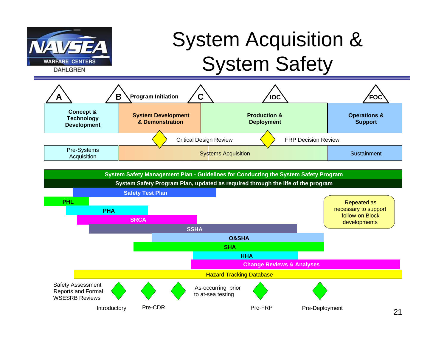

# System Acquisition & System Safety